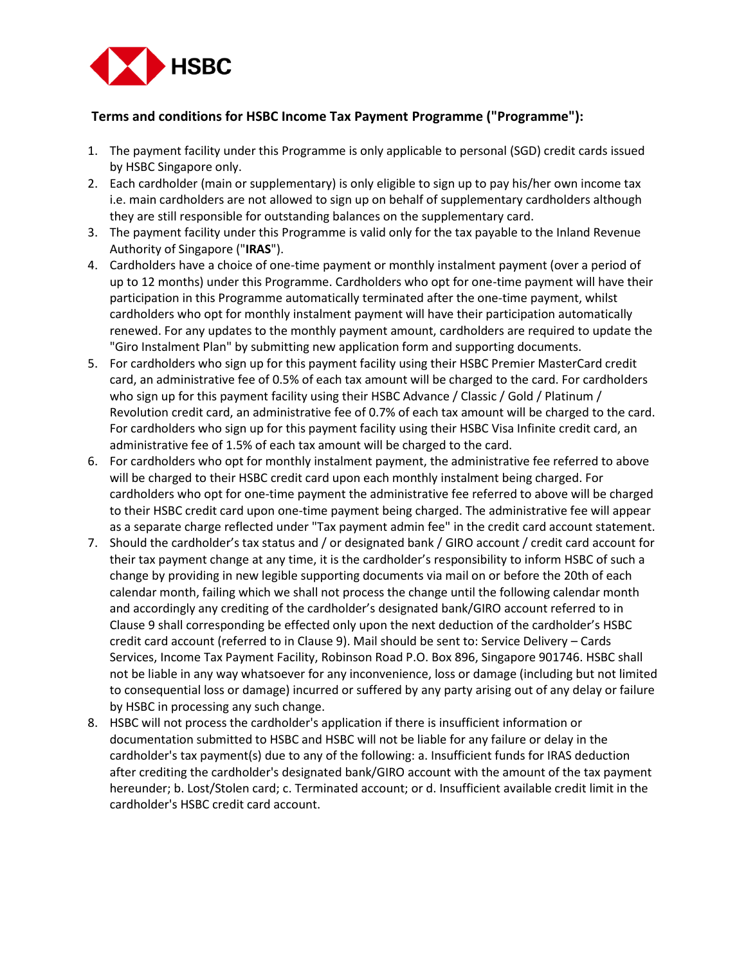

## **Terms and conditions for HSBC Income Tax Payment Programme ("Programme"):**

- 1. The payment facility under this Programme is only applicable to personal (SGD) credit cards issued by HSBC Singapore only.
- 2. Each cardholder (main or supplementary) is only eligible to sign up to pay his/her own income tax i.e. main cardholders are not allowed to sign up on behalf of supplementary cardholders although they are still responsible for outstanding balances on the supplementary card.
- 3. The payment facility under this Programme is valid only for the tax payable to the Inland Revenue Authority of Singapore ("**IRAS**").
- 4. Cardholders have a choice of one-time payment or monthly instalment payment (over a period of up to 12 months) under this Programme. Cardholders who opt for one-time payment will have their participation in this Programme automatically terminated after the one-time payment, whilst cardholders who opt for monthly instalment payment will have their participation automatically renewed. For any updates to the monthly payment amount, cardholders are required to update the "Giro Instalment Plan" by submitting new application form and supporting documents.
- 5. For cardholders who sign up for this payment facility using their HSBC Premier MasterCard credit card, an administrative fee of 0.5% of each tax amount will be charged to the card. For cardholders who sign up for this payment facility using their HSBC Advance / Classic / Gold / Platinum / Revolution credit card, an administrative fee of 0.7% of each tax amount will be charged to the card. For cardholders who sign up for this payment facility using their HSBC Visa Infinite credit card, an administrative fee of 1.5% of each tax amount will be charged to the card.
- 6. For cardholders who opt for monthly instalment payment, the administrative fee referred to above will be charged to their HSBC credit card upon each monthly instalment being charged. For cardholders who opt for one-time payment the administrative fee referred to above will be charged to their HSBC credit card upon one-time payment being charged. The administrative fee will appear as a separate charge reflected under "Tax payment admin fee" in the credit card account statement.
- 7. Should the cardholder's tax status and / or designated bank / GIRO account / credit card account for their tax payment change at any time, it is the cardholder's responsibility to inform HSBC of such a change by providing in new legible supporting documents via mail on or before the 20th of each calendar month, failing which we shall not process the change until the following calendar month and accordingly any crediting of the cardholder's designated bank/GIRO account referred to in Clause 9 shall corresponding be effected only upon the next deduction of the cardholder's HSBC credit card account (referred to in Clause 9). Mail should be sent to: Service Delivery – Cards Services, Income Tax Payment Facility, Robinson Road P.O. Box 896, Singapore 901746. HSBC shall not be liable in any way whatsoever for any inconvenience, loss or damage (including but not limited to consequential loss or damage) incurred or suffered by any party arising out of any delay or failure by HSBC in processing any such change.
- 8. HSBC will not process the cardholder's application if there is insufficient information or documentation submitted to HSBC and HSBC will not be liable for any failure or delay in the cardholder's tax payment(s) due to any of the following: a. Insufficient funds for IRAS deduction after crediting the cardholder's designated bank/GIRO account with the amount of the tax payment hereunder; b. Lost/Stolen card; c. Terminated account; or d. Insufficient available credit limit in the cardholder's HSBC credit card account.